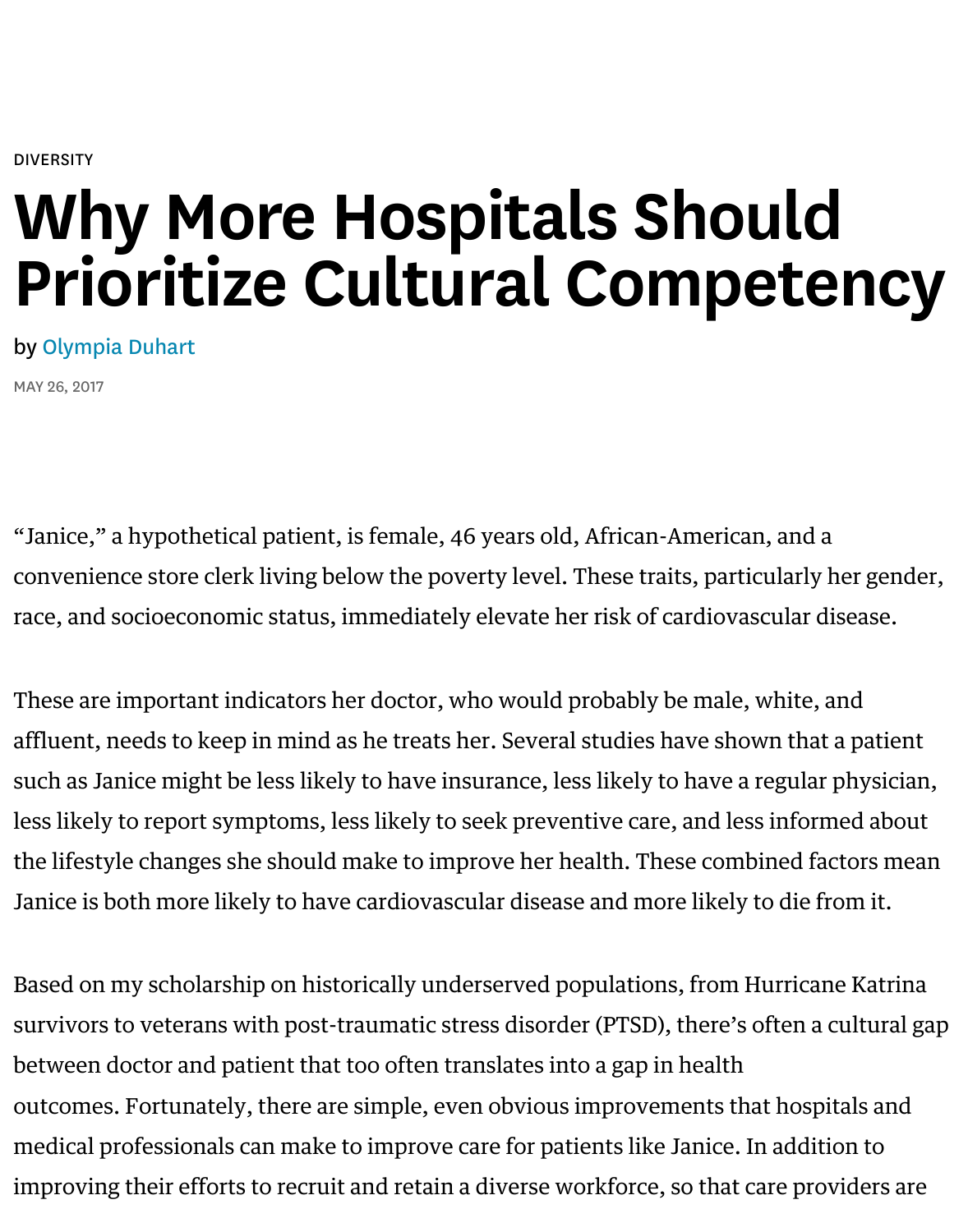# Why More Hospitals Should [Pri](https://hbr.org/topic/diversity)oritize Cultural Compete

## by Olympia Duhart

MAY 26, 2017

"J[anice," a hypoth](https://hbr.org/search?term=olympia%20duhart)etical patient, is female, 46 years old, African-American, and convenience store clerk living below the poverty level. These traits, particularly race, and socioeconomic status, immediately elevate her risk of cardiovascular d

These are important indicators her doctor, who would probably be male, white, affluent, needs to keep in mind as he treats her. Several studies have shown tha [such](https://www.ncbi.nlm.nih.gov/pmc/articles/PMC4132228/) as J[anice might be le](http://uncw.edu/csurf/Explorations/documents/reederranata.pdf)ss likely to have insurance, less likely to have a regular less likely to report symptoms, less likely to seek preventive care, and less infor the lifestyle changes she should make to improve her health. Thes[e com](http://kff.org/other/state-indicator/physicians-by-gender/?currentTimeframe=0&sortModel=%7B%22colId%22:%22Location%22,%22sort%22:%22asc%22%7D)[bined f](http://theweek.com/articles/557426/racial-disparity-doctors-office-isnt-getting-better-might-actually-getting-worse)actors of [Janice is](https://www.theatlantic.com/health/archive/2015/01/physician-salaries/384846/) both more likely to have cardiovascular disease and more likely to die f

Based on my scholarship on historically underserved populations, from Hurrica survivors to veterans with post-traumatic stress disorder (PTSD), there's often a between doctor and patient that t[oo often translates into](https://www.goredforwomen.org/about-heart-disease/facts_about_heart_disease_in_women-sub-category/african-american-women/) a gap in health outcomes. Fortunately, there are simple, even obvious improvements that hosp medical professionals can make to improve care for patients like Janice. In addit improving their efforts to recruit and retain a diverse workforce, so that care pro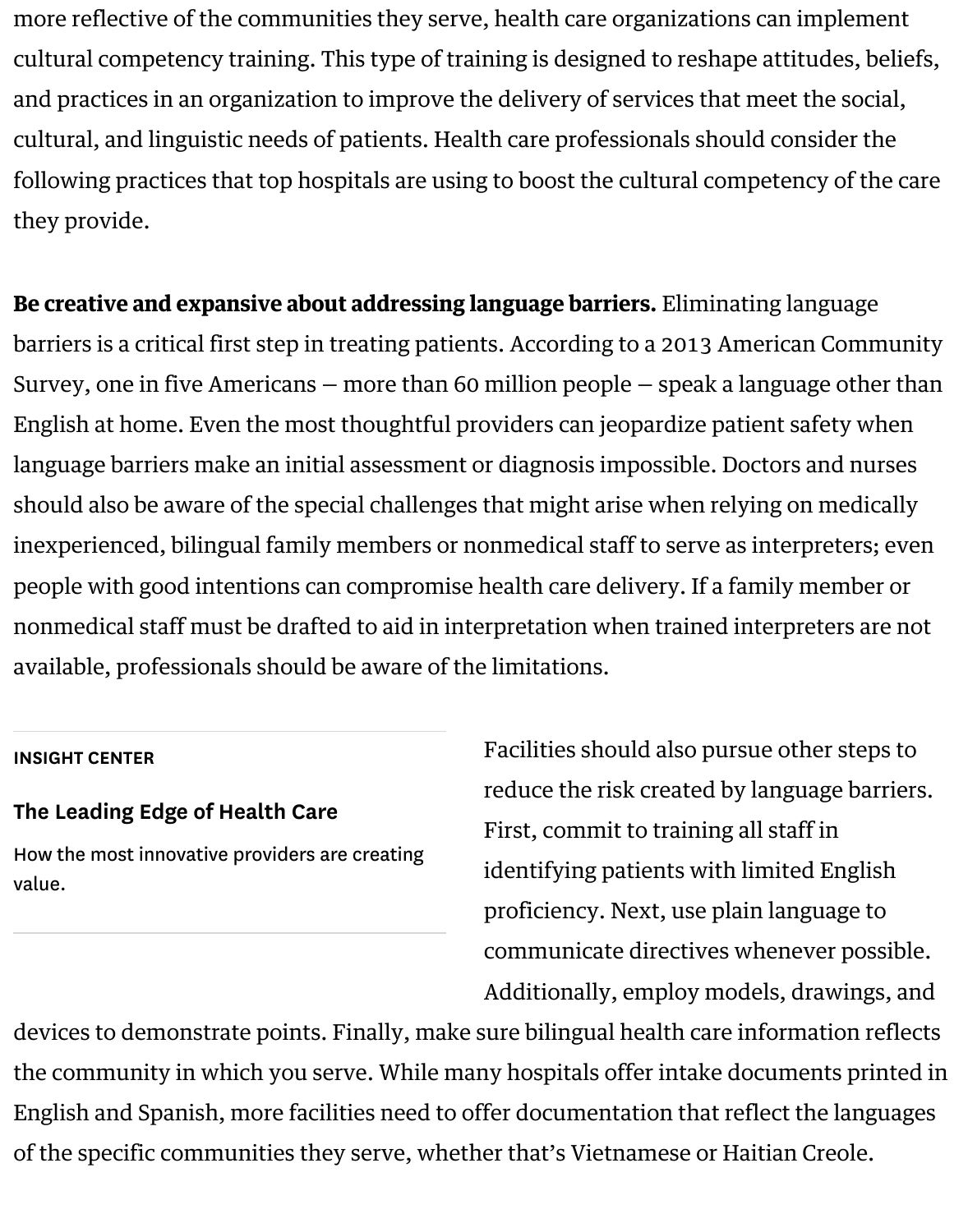following practices that top hospitals are using to boost the cultural competency [they provide.](https://hpi.georgetown.edu/agingsociety/pubhtml/cultural/cultural.html)

Be creative and expansive about addressing language barriers. Eliminating lang barriers is a critical first step in treating patients. According to a 2013 American Survey, one in five Americans – more than 60 million people – speak a language English at home. Even the most thoughtful providers can jeopardize patient safety language barriers make an initial assessment or diagnosis impossible. Doctors an should also be aware of the special challenges that might arise when relying on  $\mathbf i$ [inexperienced, bilingual family members or nonmedical staff to serve as interpreters; even](https://www.census.gov/data/tables/2013/demo/2009-2013-lang-tables.html)ts; events; events; e people with good intentions can compromise health care delivery. If [a family memb](http://onlinenursing.regiscollege.edu/resources/mha/infographics/improving-patient-safety/)er or nonmedical staff must be drafted to aid in interpretation when trained interpret available, professionals sho[uld be aware of the](https://www.ncbi.nlm.nih.gov/pmc/articles/PMC4566365/) limitations.

### INSIGHT CENTER

## The Leading Edge of Health Care

How the most innovative providers are creating value.

Facilities should also pursue othe reduce the risk created by language First, commit to training all staff in identifying patients with limited  $\overline{E}$ proficiency. Next, use plain langu communicate directives whenever Additionally, employ models, dra

devices to demonstrate points. Finally, make sure bilingual health care information reflects. the community in which you serve. While many hospitals offer intake documen English and Spanish, more facilities need to offer documentation that reflect the of the specific communities they serve, whether that's Vietnamese or Haitian Cre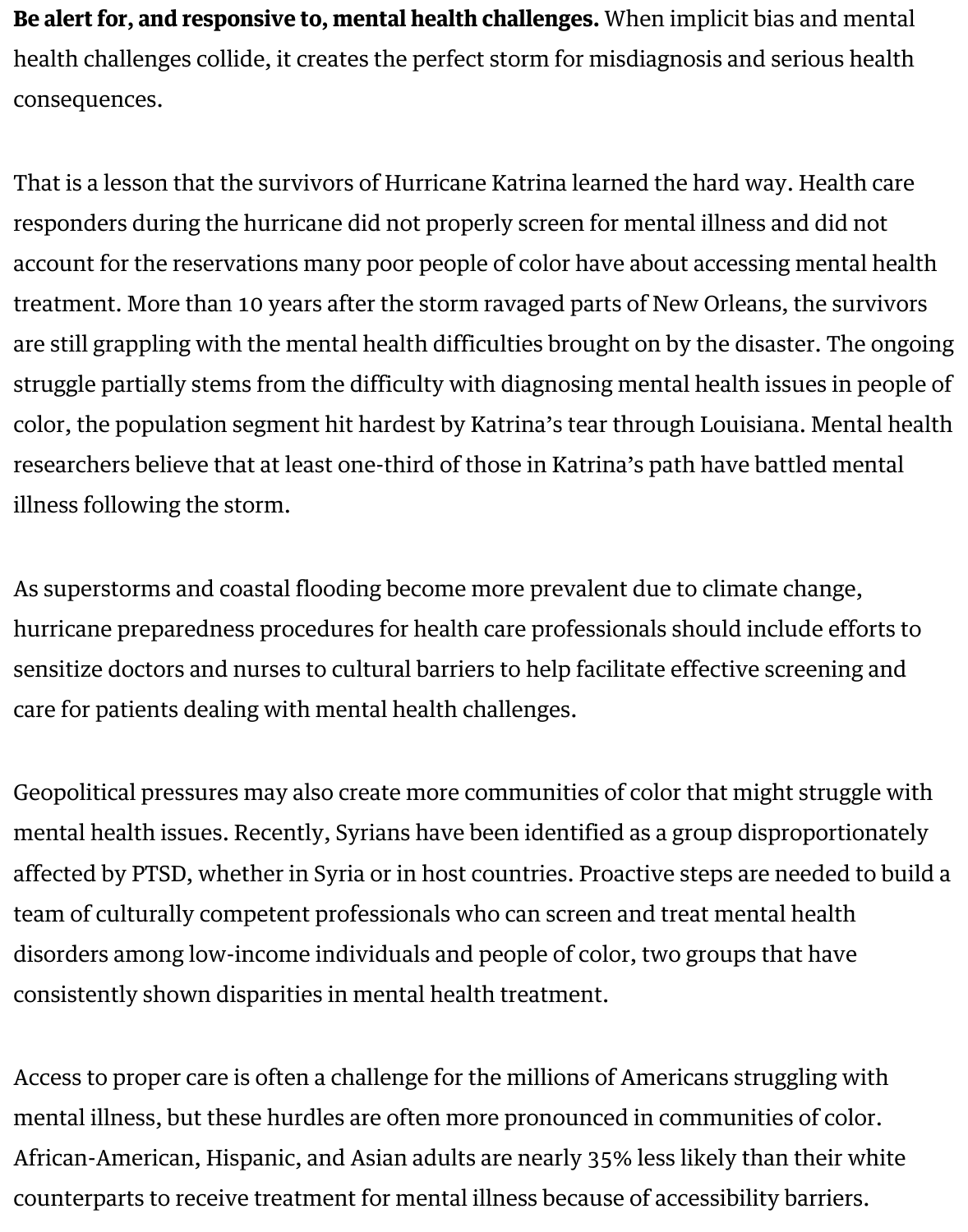That is a lesson that the survivors of Hurricane Katrina learned the hard way. He responders during the hurricane did not properly screen for mental illness and o account for the reservations many poor people of color have about accessing me treatment. More than 10 years after the storm ravaged parts of New Orleans, the are still grappling with the mental health difficulties brought on by the disaster. struggle partially stems from the difficulty with diagnosing mental health issues color, the population segment hit hardest by Katrina's tear through Louisiana. N researchers believe that at least one-third of those in Katrina's path have battled illness following the storm.

As superstorms and coastal flooding become more prevalent due to climate change. hurricane preparedness proced[ures for health care professionals sh](https://www.sciencedaily.com/releases/2013/04/130411152401.htm)ould include sensitize doctors and nurses to cultural barriers to help facilitate effective screen care for patients dealing with mental health challenges.

Geopolitical pressures may also create more communities of color that might struggle  $\alpha$ mental health issues. Recently, Syrians have been identified as a group disproportionate affected by PTSD, whether in Syria or in host countries. Proactive steps are need team of culturally competent professionals who can screen and treat mental healthcare disorders among low-income individuals and people of color, two groups that h consistently shown disparities i[n mental health treatment.](https://www.brookings.edu/blog/future-development/2016/04/25/syrias-mental-health-crisis/)

Access to proper care is often a challenge for the millions of Americans struggling mental illness, but these hurdles are often more pronounced in communities of [African-American, H](https://www.nimh.nih.gov/about/organization/gmh/minority-health-and-mental-health-disparities-program.shtml)ispanic, and Asian adults are nearly 35% less likely than the counterparts to receive treatment for mental illness because of accessibility bari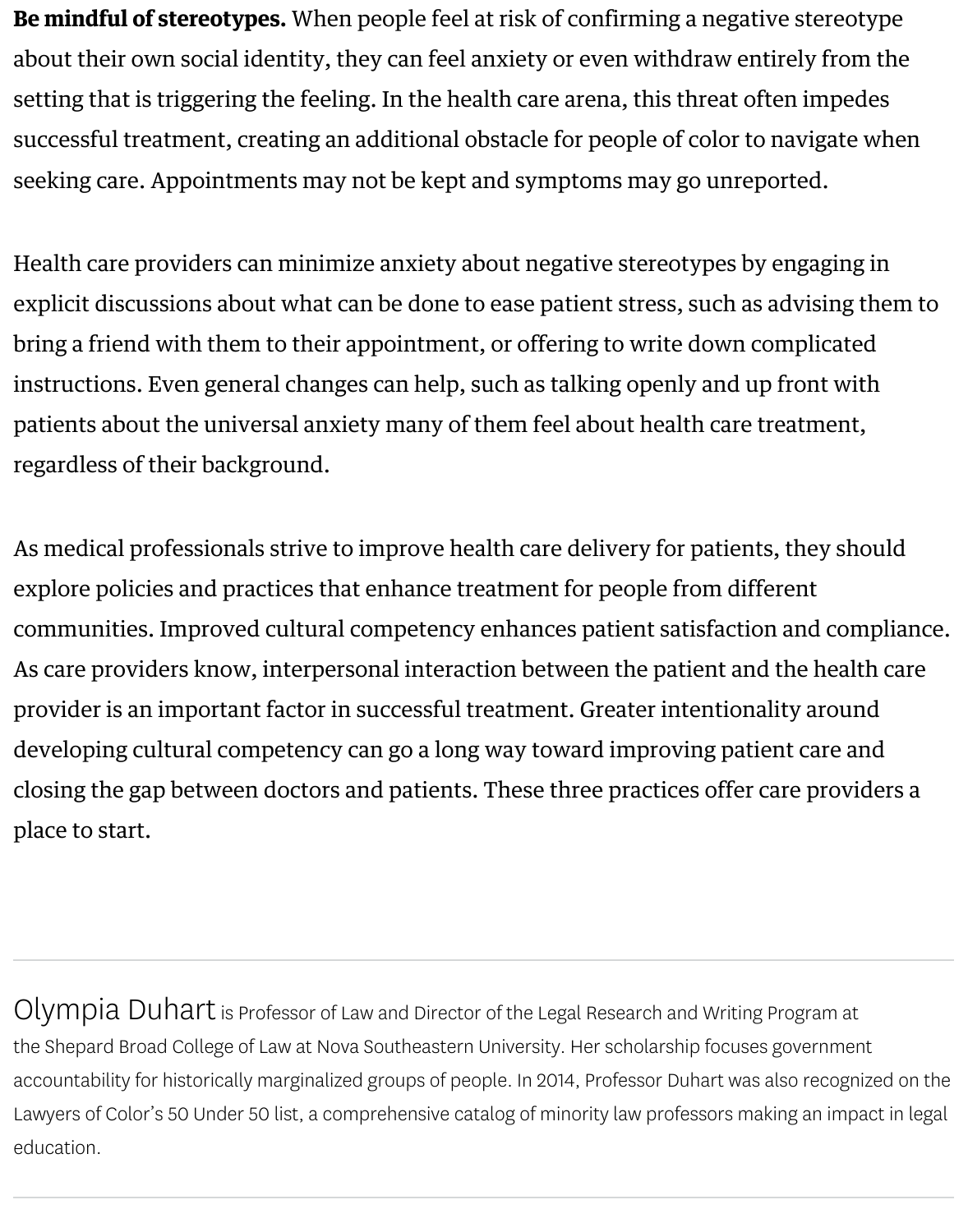[seeking care. Appointments may not be kept and symptoms may go unreported.](http://www.annualreviews.org/doi/pdf/10.1146/annurev-psych-073115-103235)

Health care providers can minimize anxiety about negative stereotypes by engaging in explicit discussions about what can be done to ease patient stress, such as advis bring a friend with them to their appointment, or offering to write down compli instructions. Even general changes can help, such as talking openly and up fron patients about the univer[sal anxiety many o](https://www.ncbi.nlm.nih.gov/pmc/articles/PMC3518353/#bib13)f them feel about health care treatm regardless of their background.

As medical professionals strive to improve health care delivery for patients, they explore policies and practices that enhance treatment for people from different communities. Improved cultural competency enhances patient satisfaction and As care providers know, interpersonal interaction between the patient and the h provider is an important factor in successful treatment. Greater intentionality are developing cultural competency can go a long way toward improving patient ca closing the gap between doctors and patients. These three practices offer care providers and providers and pro place to start.

Olympia Duhart is Professor of Law and Director of the Legal Research and Writing Progra the Shepard Broad College of Law at Nova Southeastern University. Her scholarship focuses govern accountability for historically marginalized groups of people. In 2014, Professor Duhart was also re Lawyers of Color's 50 Under 50 list, a comprehensive catalog of minority law professors making an education.